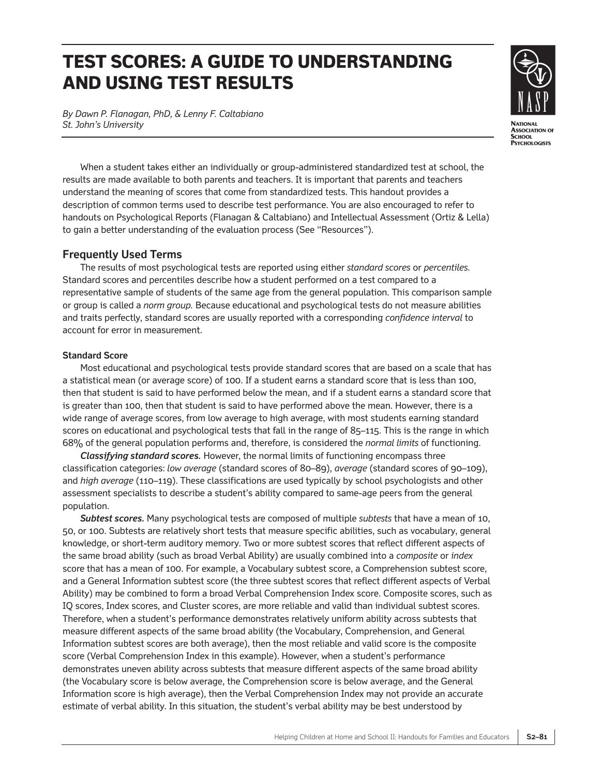# **TEST SCORES: A GUIDE TO UNDERSTANDING AND USING TEST RESULTS**

*By Dawn P. Flanagan, PhD, & Lenny F. Caltabiano St. John's University*



When a student takes either an individually or group-administered standardized test at school, the results are made available to both parents and teachers. It is important that parents and teachers understand the meaning of scores that come from standardized tests. This handout provides a description of common terms used to describe test performance. You are also encouraged to refer to handouts on Psychological Reports (Flanagan & Caltabiano) and Intellectual Assessment (Ortiz & Lella) to gain a better understanding of the evaluation process (See "Resources").

# **Frequently Used Terms**

The results of most psychological tests are reported using either *standard scores* or *percentiles.* Standard scores and percentiles describe how a student performed on a test compared to a representative sample of students of the same age from the general population. This comparison sample or group is called a *norm group.* Because educational and psychological tests do not measure abilities and traits perfectly, standard scores are usually reported with a corresponding *confidence interval* to account for error in measurement.

## **Standard Score**

Most educational and psychological tests provide standard scores that are based on a scale that has a statistical mean (or average score) of 100. If a student earns a standard score that is less than 100, then that student is said to have performed below the mean, and if a student earns a standard score that is greater than 100, then that student is said to have performed above the mean. However, there is a wide range of average scores, from low average to high average, with most students earning standard scores on educational and psychological tests that fall in the range of 85–115. This is the range in which 68% of the general population performs and, therefore, is considered the *normal limits* of functioning.

*Classifying standard scores.* However, the normal limits of functioning encompass three classification categories: *low average* (standard scores of 80–89), *average* (standard scores of 90–109), and *high average* (110–119). These classifications are used typically by school psychologists and other assessment specialists to describe a student's ability compared to same-age peers from the general population.

*Subtest scores.* Many psychological tests are composed of multiple *subtests* that have a mean of 10, 50, or 100. Subtests are relatively short tests that measure specific abilities, such as vocabulary, general knowledge, or short-term auditory memory. Two or more subtest scores that reflect different aspects of the same broad ability (such as broad Verbal Ability) are usually combined into a *composite* or *index* score that has a mean of 100. For example, a Vocabulary subtest score, a Comprehension subtest score, and a General Information subtest score (the three subtest scores that reflect different aspects of Verbal Ability) may be combined to form a broad Verbal Comprehension Index score. Composite scores, such as IQ scores, Index scores, and Cluster scores, are more reliable and valid than individual subtest scores. Therefore, when a student's performance demonstrates relatively uniform ability across subtests that measure different aspects of the same broad ability (the Vocabulary, Comprehension, and General Information subtest scores are both average), then the most reliable and valid score is the composite score (Verbal Comprehension Index in this example). However, when a student's performance demonstrates uneven ability across subtests that measure different aspects of the same broad ability (the Vocabulary score is below average, the Comprehension score is below average, and the General Information score is high average), then the Verbal Comprehension Index may not provide an accurate estimate of verbal ability. In this situation, the student's verbal ability may be best understood by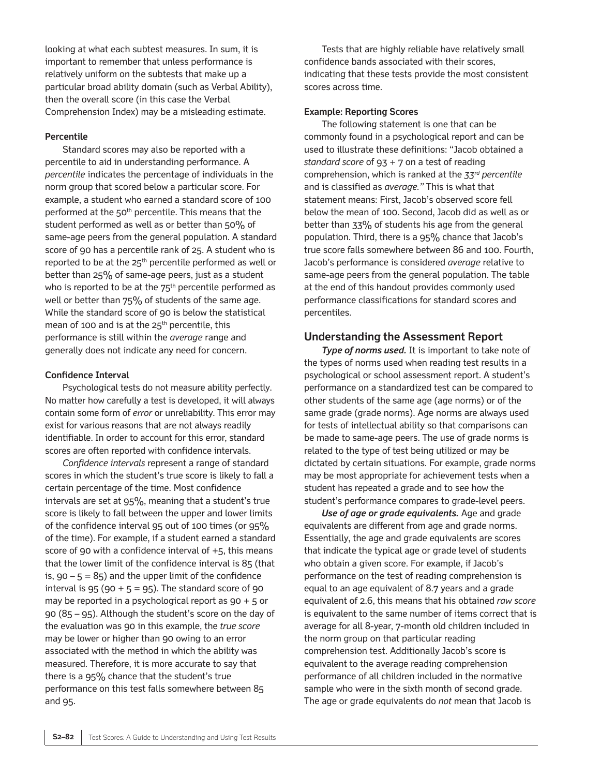looking at what each subtest measures. In sum, it is important to remember that unless performance is relatively uniform on the subtests that make up a particular broad ability domain (such as Verbal Ability), then the overall score (in this case the Verbal Comprehension Index) may be a misleading estimate.

#### **Percentile**

Standard scores may also be reported with a percentile to aid in understanding performance. A *percentile* indicates the percentage of individuals in the norm group that scored below a particular score. For example, a student who earned a standard score of 100 performed at the 50<sup>th</sup> percentile. This means that the student performed as well as or better than 50% of same-age peers from the general population. A standard score of 90 has a percentile rank of 25. A student who is reported to be at the 25<sup>th</sup> percentile performed as well or better than 25% of same-age peers, just as a student who is reported to be at the  $75<sup>th</sup>$  percentile performed as well or better than 75% of students of the same age. While the standard score of 90 is below the statistical mean of 100 and is at the  $25<sup>th</sup>$  percentile, this performance is still within the *average* range and generally does not indicate any need for concern.

#### **Confidence Interval**

Psychological tests do not measure ability perfectly. No matter how carefully a test is developed, it will always contain some form of *error* or unreliability. This error may exist for various reasons that are not always readily identifiable. In order to account for this error, standard scores are often reported with confidence intervals.

*Confidence intervals* represent a range of standard scores in which the student's true score is likely to fall a certain percentage of the time. Most confidence intervals are set at 95%, meaning that a student's true score is likely to fall between the upper and lower limits of the confidence interval 95 out of 100 times (or 95% of the time). For example, if a student earned a standard score of 90 with a confidence interval of  $+5$ , this means that the lower limit of the confidence interval is 85 (that is,  $90 - 5 = 85$ ) and the upper limit of the confidence interval is  $95 (90 + 5 = 95)$ . The standard score of 90 may be reported in a psychological report as 90 + 5 or 90 (85 – 95). Although the student's score on the day of the evaluation was 90 in this example, the *true score* may be lower or higher than 90 owing to an error associated with the method in which the ability was measured. Therefore, it is more accurate to say that there is a 95% chance that the student's true performance on this test falls somewhere between 85 and 95.

Tests that are highly reliable have relatively small confidence bands associated with their scores, indicating that these tests provide the most consistent scores across time.

#### **Example: Reporting Scores**

The following statement is one that can be commonly found in a psychological report and can be used to illustrate these definitions: "Jacob obtained a *standard score* of 93 + 7 on a test of reading comprehension, which is ranked at the *33rd percentile* and is classified as *average."* This is what that statement means: First, Jacob's observed score fell below the mean of 100. Second, Jacob did as well as or better than 33% of students his age from the general population. Third, there is a 95% chance that Jacob's true score falls somewhere between 86 and 100. Fourth, Jacob's performance is considered *average* relative to same-age peers from the general population. The table at the end of this handout provides commonly used performance classifications for standard scores and percentiles.

## **Understanding the Assessment Report**

*Type of norms used.* It is important to take note of the types of norms used when reading test results in a psychological or school assessment report. A student's performance on a standardized test can be compared to other students of the same age (age norms) or of the same grade (grade norms). Age norms are always used for tests of intellectual ability so that comparisons can be made to same-age peers. The use of grade norms is related to the type of test being utilized or may be dictated by certain situations. For example, grade norms may be most appropriate for achievement tests when a student has repeated a grade and to see how the student's performance compares to grade-level peers.

*Use of age or grade equivalents.* Age and grade equivalents are different from age and grade norms. Essentially, the age and grade equivalents are scores that indicate the typical age or grade level of students who obtain a given score. For example, if Jacob's performance on the test of reading comprehension is equal to an age equivalent of 8.7 years and a grade equivalent of 2.6, this means that his obtained *raw score* is equivalent to the same number of items correct that is average for all 8-year, 7-month old children included in the norm group on that particular reading comprehension test. Additionally Jacob's score is equivalent to the average reading comprehension performance of all children included in the normative sample who were in the sixth month of second grade. The age or grade equivalents do *not* mean that Jacob is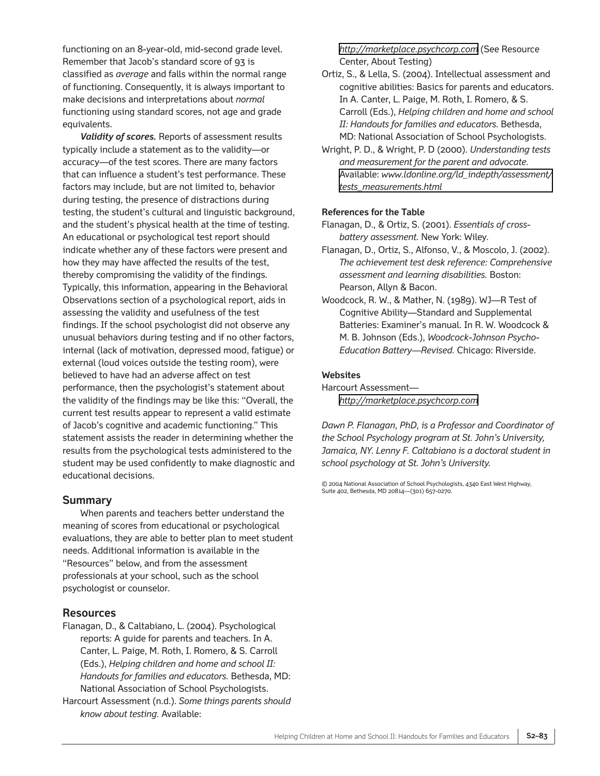functioning on an 8-year-old, mid-second grade level. Remember that Jacob's standard score of 93 is classified as *average* and falls within the normal range of functioning. Consequently, it is always important to make decisions and interpretations about *normal* functioning using standard scores, not age and grade equivalents.

*Validity of scores.* Reports of assessment results typically include a statement as to the validity—or accuracy—of the test scores. There are many factors that can influence a student's test performance. These factors may include, but are not limited to, behavior during testing, the presence of distractions during testing, the student's cultural and linguistic background, and the student's physical health at the time of testing. An educational or psychological test report should indicate whether any of these factors were present and how they may have affected the results of the test, thereby compromising the validity of the findings. Typically, this information, appearing in the Behavioral Observations section of a psychological report, aids in assessing the validity and usefulness of the test findings. If the school psychologist did not observe any unusual behaviors during testing and if no other factors, internal (lack of motivation, depressed mood, fatigue) or external (loud voices outside the testing room), were believed to have had an adverse affect on test performance, then the psychologist's statement about the validity of the findings may be like this: "Overall, the current test results appear to represent a valid estimate of Jacob's cognitive and academic functioning." This statement assists the reader in determining whether the results from the psychological tests administered to the student may be used confidently to make diagnostic and educational decisions.

## **Summary**

When parents and teachers better understand the meaning of scores from educational or psychological evaluations, they are able to better plan to meet student needs. Additional information is available in the "Resources" below, and from the assessment professionals at your school, such as the school psychologist or counselor.

## **Resources**

Flanagan, D., & Caltabiano, L. (2004). Psychological reports: A guide for parents and teachers. In A. Canter, L. Paige, M. Roth, I. Romero, & S. Carroll (Eds.), *Helping children and home and school II: Handouts for families and educators.* Bethesda, MD: National Association of School Psychologists.

Harcourt Assessment (n.d.). *Some things parents should know about testing.* Available:

#### *<http://marketplace.psychcorp.com>* (See Resource Center, About Testing)

- Ortiz, S., & Lella, S. (2004). Intellectual assessment and cognitive abilities: Basics for parents and educators. In A. Canter, L. Paige, M. Roth, I. Romero, & S. Carroll (Eds.), *Helping children and home and school II: Handouts for families and educators.* Bethesda, MD: National Association of School Psychologists.
- Wright, P. D., & Wright, P. D (2000). *Understanding tests and measurement for the parent and advocate.* Available: *[www.ldonline.org/ld\\_indepth/assessment/](www.ldonline.org/ld_indepth/assessment/tests_measurements.html) tests\_measurements.html*

#### **References for the Table**

- Flanagan, D., & Ortiz, S. (2001). *Essentials of crossbattery assessment.* New York: Wiley.
- Flanagan, D., Ortiz, S., Alfonso, V., & Moscolo, J. (2002). *The achievement test desk reference: Comprehensive assessment and learning disabilities.* Boston: Pearson, Allyn & Bacon.
- Woodcock, R. W., & Mather, N. (1989). WJ—R Test of Cognitive Ability—Standard and Supplemental Batteries: Examiner's manual. In R. W. Woodcock & M. B. Johnson (Eds.), *Woodcock-Johnson Psycho-Education Battery—Revised.* Chicago: Riverside.

#### **Websites**

Harcourt Assessment *<http://marketplace.psychcorp.com>*

*Dawn P. Flanagan, PhD, is a Professor and Coordinator of the School Psychology program at St. John's University, Jamaica, NY. Lenny F. Caltabiano is a doctoral student in school psychology at St. John's University.*

© 2004 National Association of School Psychologists, 4340 East West Highway, Suite 402, Bethesda, MD 20814—(301) 657-0270.